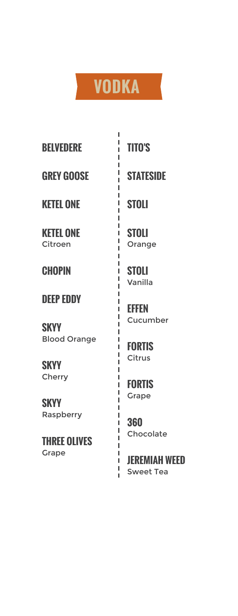## **VODKA**

I

I

Ï I

I I L L I I L

Ï I I  $\mathbf{I}$ I I I. I I I Ï I I  $\mathbf I$ I I  $\mathbf I$ Ï Ï L L I I Ī. L Ĭ.

**BELVEDERE TITO'S**

**GREY GOOSE STATESIDE**

**KETEL ONE STOLI**

**KETEL ONE** Citroen

**DEEP EDDY**

**SKYY** Blood Orange

**SKYY Cherry** 

**SKYY** Raspberry

**THREE OLIVES** Grape

**STOLI** Orange

**CHOPIN STOLI** Vanilla

> **EFFEN** Cucumber

**FORTIS** Citrus

**FORTIS** Grape

**360** Chocolate

**JEREMIAH WEED** Sweet Tea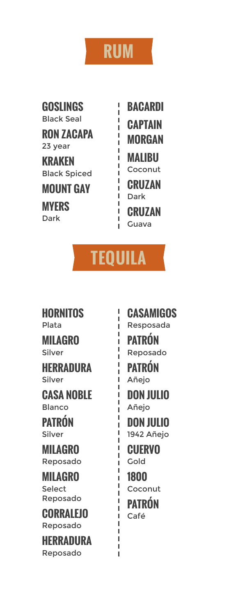#### **RUM**

I I Ĭ. Ï I I. ľ ľ ľ Ĭ. I I Ĭ. I

**GOSLINGS** Black Seal

**RON ZACAPA** 23 year **KRAKEN** Black Spiced

**MOUNT GAY**

**MYERS**

**BACARDI CAPTAIN MORGAN MALIBU** Coconut **CRUZAN** Dark **Dark CRUZAN**<br>Dark **CRUZAN** Guava

## **TEQUILA**

I I I I Ï I I

I Ī Ï I Ï I I Ï I I Ī Ī I Ï Ï Ï I I Ï Ï

**HORNITOS** Plata

**MILAGRO** Silver

**HERRADURA** Silver

**CASA NOBLE** Blanco

**PATRÓN** Silver

**MILAGRO** Reposado

**MILAGRO** Select Reposado

**CORRALEJO** Reposado

**HERRADURA** Reposado

**CASAMIGOS** Resposada **PATRÓN** Reposado **PATRÓN** Añejo **DON JULIO** Añejo **DON JULIO** 1942 Añejo **CUERVO** Gold **1800** Coconut

**PATRÓN** Café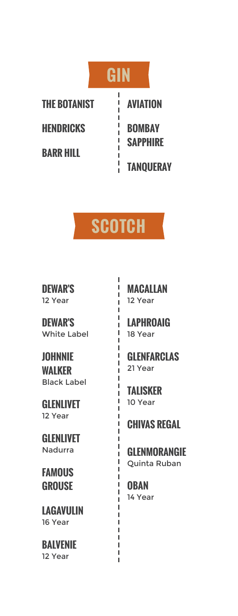



I I Ĭ. Ĭ. I ı Ï I I I Ĭ. I Ĭ. Ï Ï Ĭ. Ĭ. I I Ï I П Ï Ï Ï Ï ī Ï I I Ï Ï I I I Ï

**DEWAR'S** 12 Year

**DEWAR'S** White Label

**JOHNNIE WALKER** Black Label

**GLENLIVET** 12 Year

**GLENLIVET** Nadurra

**FAMOUS GROUSE**

**LAGAVULIN** 16 Year

**BALVENIE** 12 Year

**MACALLAN** 12 Year

**LAPHROAIG** 18 Year

**GLENFARCLAS** 21 Year

**TALISKER** 10 Year

**CHIVAS REGAL**

**GLENMORANGIE** Quinta Ruban

**OBAN** 14 Year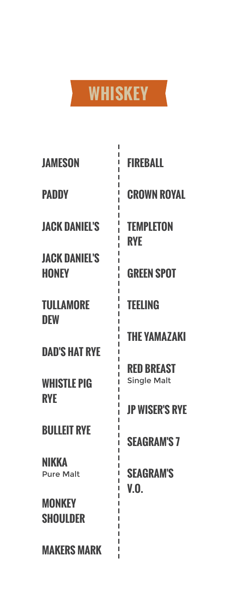

Ē.

| I<br><b>JAMESON</b>                        | <b>FIREBALL</b>                         |
|--------------------------------------------|-----------------------------------------|
| <b>PADDY</b>                               | <b>CROWN ROYAL</b>                      |
| <b>JACK DANIEL'S</b>                       | <b>TEMPLETON</b><br><b>RYF</b>          |
| <b>JACK DANIEL'S</b><br><b>HONEY</b>       | <b>GREEN SPOT</b>                       |
| <b>TULLAMORE</b><br><b>DEW</b>             | <b>TEELING</b>                          |
| <b>DAD'S HAT RYE</b>                       | <b>THE YAMAZAKI</b>                     |
| <b>WHISTLE PIG</b>                         | <b>RED BREAST</b><br><b>Single Malt</b> |
| <b>RYE</b>                                 | <b>JP WISER'S RYE</b>                   |
| <b>BULLEIT RYE</b>                         | <b>SEAGRAM'S 7</b>                      |
| NIKKA<br>I<br><b>Pure Malt</b>             | <b>SEAGRAM'S</b><br>V.O.                |
| I<br><b>MONKEY</b><br>I<br><b>SHOULDER</b> |                                         |
| <b>MAKERS MARK</b>                         |                                         |